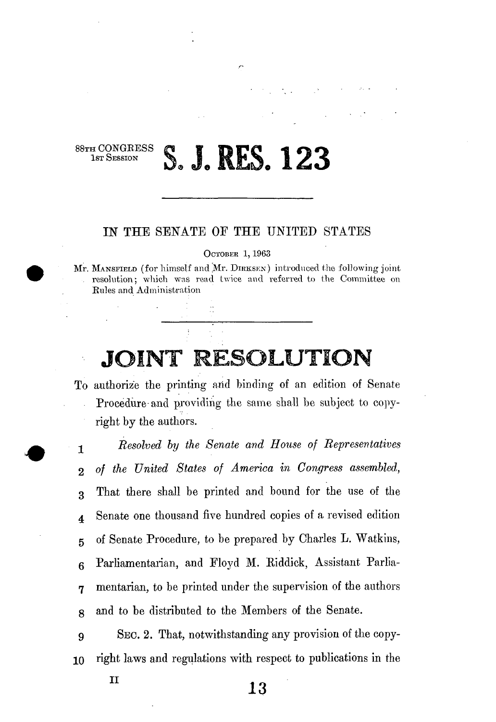## S. J. RES. 123

88TH CONGRESS<br>1st Session

## IN THE SENATE OF THE UNITED STATES

OCTOBER 1,1963

Mr. MANSFIELD (for himself and Mr. DIRKSEN) introduced the following joint resolution; which was read twice and referred to the Committee on Rules and Administration

## JOINT RESOLUTION

To authorize the printing and binding of an edition of Senate Procedure-and providing the same shall be subject to copyright by the authors.

-j *Resolved by the Senate and House of Representatives*  2 *of the United States of America in Congress assembled,*  3 That there shall be printed and bound for the use of the 4 Senate one thousand five hundred copies of a revised edition 5 of Senate Procedure, to be prepared by Charles L. Watkins, 6 Parliamentarian, and Floyd M. Riddick, Assistant Parlia-7 mentarian, to be printed under the supervision of the authors g and to be distributed to the Members of the Senate.

9 SEC. 2. That, notwithstanding any provision of the copy-10 right laws and regulations with respect to publications in the